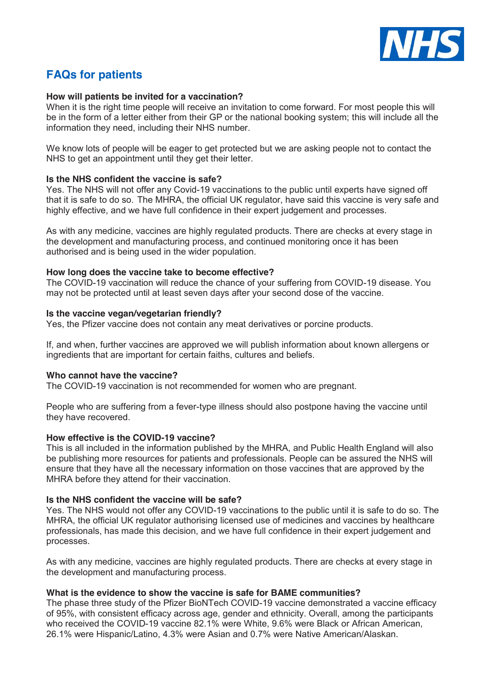

# **FAQs for patients**

## **How will patients be invited for a vaccination?**

When it is the right time people will receive an invitation to come forward. For most people this will be in the form of a letter either from their GP or the national booking system; this will include all the information they need, including their NHS number.

We know lots of people will be eager to get protected but we are asking people not to contact the NHS to get an appointment until they get their letter.

## **Is the NHS confident the vaccine is safe?**

Yes. The NHS will not offer any Covid-19 vaccinations to the public until experts have signed off that it is safe to do so.  The MHRA, the official UK regulator, have said this vaccine is very safe and highly effective, and we have full confidence in their expert judgement and processes.

As with any medicine, vaccines are highly regulated products. There are checks at every stage in the development and manufacturing process, and continued monitoring once it has been authorised and is being used in the wider population.

## **How long does the vaccine take to become effective?**

The COVID-19 vaccination will reduce the chance of your suffering from COVID-19 disease. You may not be protected until at least seven days after your second dose of the vaccine.

#### **Is the vaccine vegan/vegetarian friendly?**

Yes, the Pfizer vaccine does not contain any meat derivatives or porcine products.

If, and when, further vaccines are approved we will publish information about known allergens or ingredients that are important for certain faiths, cultures and beliefs.

#### **Who cannot have the vaccine?**

The COVID-19 vaccination is not recommended for women who are pregnant.

People who are suffering from a fever-type illness should also postpone having the vaccine until they have recovered.

#### **How effective is the COVID-19 vaccine?**

This is all included in the information published by the MHRA, and Public Health England will also be publishing more resources for patients and professionals. People can be assured the NHS will ensure that they have all the necessary information on those vaccines that are approved by the MHRA before they attend for their vaccination.

#### **Is the NHS confident the vaccine will be safe?**

Yes. The NHS would not offer any COVID-19 vaccinations to the public until it is safe to do so. The MHRA, the official UK regulator authorising licensed use of medicines and vaccines by healthcare professionals, has made this decision, and we have full confidence in their expert judgement and processes.

As with any medicine, vaccines are highly regulated products. There are checks at every stage in the development and manufacturing process.

#### **What is the evidence to show the vaccine is safe for BAME communities?**

The phase three study of the Pfizer BioNTech COVID-19 vaccine demonstrated a vaccine efficacy of 95%, with consistent efficacy across age, gender and ethnicity. Overall, among the participants who received the COVID-19 vaccine 82.1% were White, 9.6% were Black or African American, 26.1% were Hispanic/Latino, 4.3% were Asian and 0.7% were Native American/Alaskan.